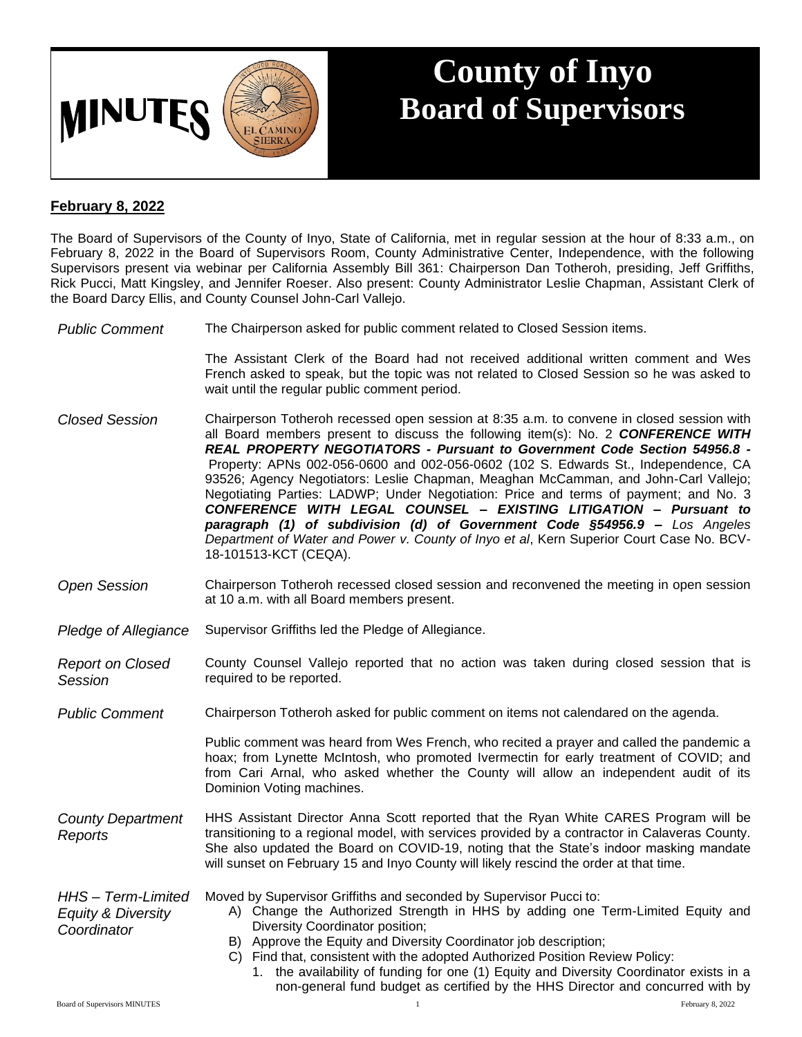

## **County of Inyo Board of Supervisors**

## **February 8, 2022**

The Board of Supervisors of the County of Inyo, State of California, met in regular session at the hour of 8:33 a.m., on February 8, 2022 in the Board of Supervisors Room, County Administrative Center, Independence, with the following Supervisors present via webinar per California Assembly Bill 361: Chairperson Dan Totheroh, presiding, Jeff Griffiths, Rick Pucci, Matt Kingsley, and Jennifer Roeser. Also present: County Administrator Leslie Chapman, Assistant Clerk of the Board Darcy Ellis, and County Counsel John-Carl Vallejo.

*Public Comment* The Chairperson asked for public comment related to Closed Session items.

The Assistant Clerk of the Board had not received additional written comment and Wes French asked to speak, but the topic was not related to Closed Session so he was asked to wait until the regular public comment period.

- *Closed Session* Chairperson Totheroh recessed open session at 8:35 a.m. to convene in closed session with all Board members present to discuss the following item(s): No. 2 *CONFERENCE WITH REAL PROPERTY NEGOTIATORS - Pursuant to Government Code Section 54956.8 -* Property: APNs 002-056-0600 and 002-056-0602 (102 S. Edwards St., Independence, CA 93526; Agency Negotiators: Leslie Chapman, Meaghan McCamman, and John-Carl Vallejo; Negotiating Parties: LADWP; Under Negotiation: Price and terms of payment; and No. 3 *CONFERENCE WITH LEGAL COUNSEL – EXISTING LITIGATION – Pursuant to paragraph (1) of subdivision (d) of Government Code §54956.9 – Los Angeles Department of Water and Power v. County of Inyo et al*, Kern Superior Court Case No. BCV-18-101513-KCT (CEQA).
- *Open Session* Chairperson Totheroh recessed closed session and reconvened the meeting in open session at 10 a.m. with all Board members present.
- *Pledge of Allegiance* Supervisor Griffiths led the Pledge of Allegiance.

*Report on Closed Session* County Counsel Vallejo reported that no action was taken during closed session that is required to be reported.

*Public Comment* Chairperson Totheroh asked for public comment on items not calendared on the agenda.

Public comment was heard from Wes French, who recited a prayer and called the pandemic a hoax; from Lynette McIntosh, who promoted Ivermectin for early treatment of COVID; and from Cari Arnal, who asked whether the County will allow an independent audit of its Dominion Voting machines.

*County Department Reports* HHS Assistant Director Anna Scott reported that the Ryan White CARES Program will be transitioning to a regional model, with services provided by a contractor in Calaveras County. She also updated the Board on COVID-19, noting that the State's indoor masking mandate will sunset on February 15 and Inyo County will likely rescind the order at that time.

*HHS – Term-Limited*  Moved by Supervisor Griffiths and seconded by Supervisor Pucci to:

- A) Change the Authorized Strength in HHS by adding one Term-Limited Equity and Diversity Coordinator position;
	- B) Approve the Equity and Diversity Coordinator job description;
	- C) Find that, consistent with the adopted Authorized Position Review Policy:
		- 1. the availability of funding for one (1) Equity and Diversity Coordinator exists in a non-general fund budget as certified by the HHS Director and concurred with by

*Equity & Diversity Coordinator*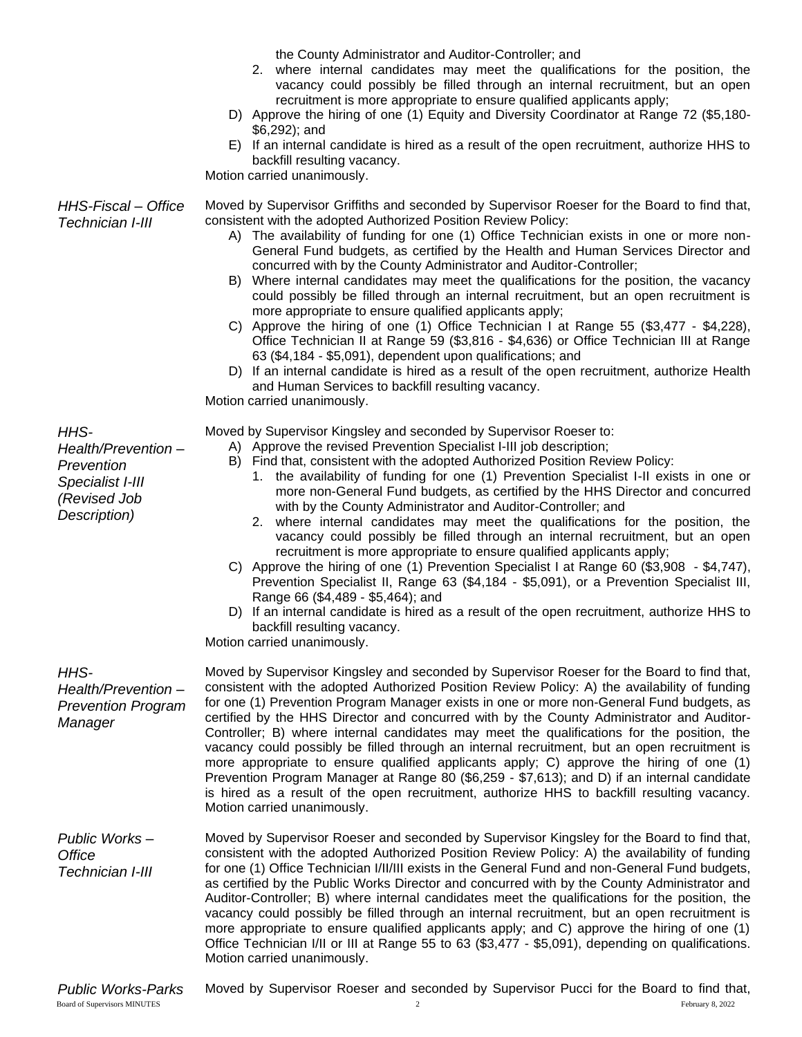the County Administrator and Auditor-Controller; and

- 2. where internal candidates may meet the qualifications for the position, the vacancy could possibly be filled through an internal recruitment, but an open recruitment is more appropriate to ensure qualified applicants apply;
- D) Approve the hiring of one (1) Equity and Diversity Coordinator at Range 72 (\$5,180- \$6,292); and
- E) If an internal candidate is hired as a result of the open recruitment, authorize HHS to backfill resulting vacancy.

Motion carried unanimously.

*HHS-Fiscal – Office*  Moved by Supervisor Griffiths and seconded by Supervisor Roeser for the Board to find that, consistent with the adopted Authorized Position Review Policy:

- A) The availability of funding for one (1) Office Technician exists in one or more non-General Fund budgets, as certified by the Health and Human Services Director and concurred with by the County Administrator and Auditor-Controller;
- B) Where internal candidates may meet the qualifications for the position, the vacancy could possibly be filled through an internal recruitment, but an open recruitment is more appropriate to ensure qualified applicants apply;
- C) Approve the hiring of one (1) Office Technician I at Range 55 (\$3,477 \$4,228), Office Technician II at Range 59 (\$3,816 - \$4,636) or Office Technician III at Range 63 (\$4,184 - \$5,091), dependent upon qualifications; and
- D) If an internal candidate is hired as a result of the open recruitment, authorize Health and Human Services to backfill resulting vacancy.

Motion carried unanimously.

Moved by Supervisor Kingsley and seconded by Supervisor Roeser to:

- A) Approve the revised Prevention Specialist I-III job description;
- B) Find that, consistent with the adopted Authorized Position Review Policy:
	- 1. the availability of funding for one (1) Prevention Specialist I-II exists in one or more non-General Fund budgets, as certified by the HHS Director and concurred with by the County Administrator and Auditor-Controller; and
	- 2. where internal candidates may meet the qualifications for the position, the vacancy could possibly be filled through an internal recruitment, but an open recruitment is more appropriate to ensure qualified applicants apply;
- C) Approve the hiring of one (1) Prevention Specialist I at Range 60 (\$3,908 \$4,747), Prevention Specialist II, Range 63 (\$4,184 - \$5,091), or a Prevention Specialist III, Range 66 (\$4,489 - \$5,464); and
- D) If an internal candidate is hired as a result of the open recruitment, authorize HHS to backfill resulting vacancy.

Motion carried unanimously.

| HHS-<br>Health/Prevention-<br><b>Prevention Program</b><br>Manager | Moved by Supervisor Kingsley and seconded by Supervisor Roeser for the Board to find that,<br>consistent with the adopted Authorized Position Review Policy: A) the availability of funding<br>for one (1) Prevention Program Manager exists in one or more non-General Fund budgets, as<br>certified by the HHS Director and concurred with by the County Administrator and Auditor-<br>Controller; B) where internal candidates may meet the qualifications for the position, the<br>vacancy could possibly be filled through an internal recruitment, but an open recruitment is<br>more appropriate to ensure qualified applicants apply; C) approve the hiring of one (1)<br>Prevention Program Manager at Range 80 (\$6,259 - \$7,613); and D) if an internal candidate<br>is hired as a result of the open recruitment, authorize HHS to backfill resulting vacancy.<br>Motion carried unanimously. |
|--------------------------------------------------------------------|------------------------------------------------------------------------------------------------------------------------------------------------------------------------------------------------------------------------------------------------------------------------------------------------------------------------------------------------------------------------------------------------------------------------------------------------------------------------------------------------------------------------------------------------------------------------------------------------------------------------------------------------------------------------------------------------------------------------------------------------------------------------------------------------------------------------------------------------------------------------------------------------------------|
| Public Works-<br>Office<br>Technician I-III                        | Moved by Supervisor Roeser and seconded by Supervisor Kingsley for the Board to find that,<br>consistent with the adopted Authorized Position Review Policy: A) the availability of funding<br>for one (1) Office Technician I/II/III exists in the General Fund and non-General Fund budgets,<br>as certified by the Public Works Director and concurred with by the County Administrator and<br>Auditor-Controller; B) where internal candidates meet the qualifications for the position, the<br>vacancy could possibly be filled through an internal recruitment, but an open recruitment is<br>more appropriate to ensure qualified applicants apply; and C) approve the hiring of one (1)<br>Office Technician I/II or III at Range 55 to 63 (\$3,477 - \$5,091), depending on qualifications.<br>Motion carried unanimously.                                                                        |
| Dublie Merica Derica                                               | Mound by Cupervisor Booser and seconded by Cupervisor Dugoi for the Boord to find that                                                                                                                                                                                                                                                                                                                                                                                                                                                                                                                                                                                                                                                                                                                                                                                                                     |

*Technician I-III*

*HHS-Health/Prevention – Prevention Specialist I-III (Revised Job Description)*

*Public Works-Parks* Moved by Supervisor Roeser and seconded by Supervisor Pucci for the Board to find that,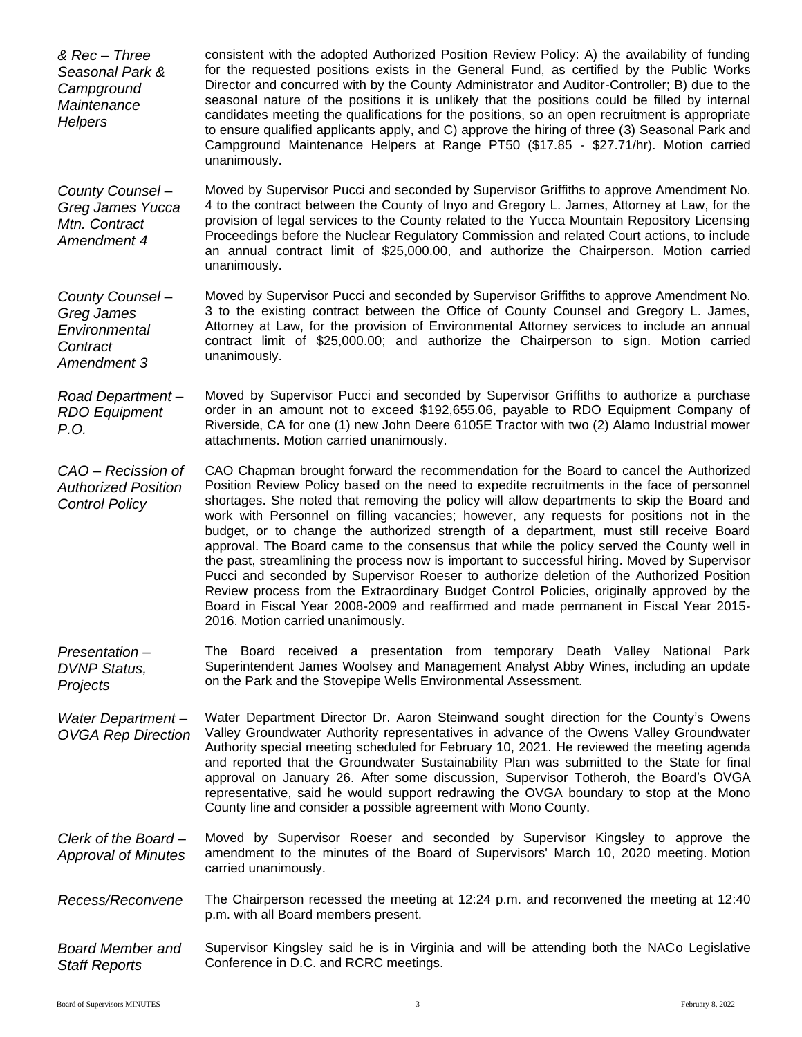| & Rec - Three<br>Seasonal Park &<br>Campground<br>Maintenance<br><b>Helpers</b> | consistent with the adopted Authorized Position Review Policy: A) the availability of funding<br>for the requested positions exists in the General Fund, as certified by the Public Works<br>Director and concurred with by the County Administrator and Auditor-Controller; B) due to the<br>seasonal nature of the positions it is unlikely that the positions could be filled by internal<br>candidates meeting the qualifications for the positions, so an open recruitment is appropriate<br>to ensure qualified applicants apply, and C) approve the hiring of three (3) Seasonal Park and<br>Campground Maintenance Helpers at Range PT50 (\$17.85 - \$27.71/hr). Motion carried<br>unanimously.                                                                                                                                                                                                                                                                                      |
|---------------------------------------------------------------------------------|----------------------------------------------------------------------------------------------------------------------------------------------------------------------------------------------------------------------------------------------------------------------------------------------------------------------------------------------------------------------------------------------------------------------------------------------------------------------------------------------------------------------------------------------------------------------------------------------------------------------------------------------------------------------------------------------------------------------------------------------------------------------------------------------------------------------------------------------------------------------------------------------------------------------------------------------------------------------------------------------|
| County Counsel -<br>Greg James Yucca<br>Mtn. Contract<br>Amendment 4            | Moved by Supervisor Pucci and seconded by Supervisor Griffiths to approve Amendment No.<br>4 to the contract between the County of Inyo and Gregory L. James, Attorney at Law, for the<br>provision of legal services to the County related to the Yucca Mountain Repository Licensing<br>Proceedings before the Nuclear Regulatory Commission and related Court actions, to include<br>an annual contract limit of \$25,000.00, and authorize the Chairperson. Motion carried<br>unanimously.                                                                                                                                                                                                                                                                                                                                                                                                                                                                                               |
| County Counsel -<br>Greg James<br>Environmental<br>Contract<br>Amendment 3      | Moved by Supervisor Pucci and seconded by Supervisor Griffiths to approve Amendment No.<br>3 to the existing contract between the Office of County Counsel and Gregory L. James,<br>Attorney at Law, for the provision of Environmental Attorney services to include an annual<br>contract limit of \$25,000.00; and authorize the Chairperson to sign. Motion carried<br>unanimously.                                                                                                                                                                                                                                                                                                                                                                                                                                                                                                                                                                                                       |
| Road Department-<br><b>RDO</b> Equipment<br>P.O.                                | Moved by Supervisor Pucci and seconded by Supervisor Griffiths to authorize a purchase<br>order in an amount not to exceed \$192,655.06, payable to RDO Equipment Company of<br>Riverside, CA for one (1) new John Deere 6105E Tractor with two (2) Alamo Industrial mower<br>attachments. Motion carried unanimously.                                                                                                                                                                                                                                                                                                                                                                                                                                                                                                                                                                                                                                                                       |
| CAO - Recission of<br><b>Authorized Position</b><br><b>Control Policy</b>       | CAO Chapman brought forward the recommendation for the Board to cancel the Authorized<br>Position Review Policy based on the need to expedite recruitments in the face of personnel<br>shortages. She noted that removing the policy will allow departments to skip the Board and<br>work with Personnel on filling vacancies; however, any requests for positions not in the<br>budget, or to change the authorized strength of a department, must still receive Board<br>approval. The Board came to the consensus that while the policy served the County well in<br>the past, streamlining the process now is important to successful hiring. Moved by Supervisor<br>Pucci and seconded by Supervisor Roeser to authorize deletion of the Authorized Position<br>Review process from the Extraordinary Budget Control Policies, originally approved by the<br>Board in Fiscal Year 2008-2009 and reaffirmed and made permanent in Fiscal Year 2015-<br>2016. Motion carried unanimously. |
| Presentation-<br><b>DVNP Status,</b><br>Projects                                | The Board received a presentation from temporary Death Valley National Park<br>Superintendent James Woolsey and Management Analyst Abby Wines, including an update<br>on the Park and the Stovepipe Wells Environmental Assessment.                                                                                                                                                                                                                                                                                                                                                                                                                                                                                                                                                                                                                                                                                                                                                          |
| Water Department-<br><b>OVGA Rep Direction</b>                                  | Water Department Director Dr. Aaron Steinwand sought direction for the County's Owens<br>Valley Groundwater Authority representatives in advance of the Owens Valley Groundwater<br>Authority special meeting scheduled for February 10, 2021. He reviewed the meeting agenda<br>and reported that the Groundwater Sustainability Plan was submitted to the State for final<br>approval on January 26. After some discussion, Supervisor Totheroh, the Board's OVGA<br>representative, said he would support redrawing the OVGA boundary to stop at the Mono<br>County line and consider a possible agreement with Mono County.                                                                                                                                                                                                                                                                                                                                                              |
| Clerk of the Board-<br><b>Approval of Minutes</b>                               | Moved by Supervisor Roeser and seconded by Supervisor Kingsley to approve the<br>amendment to the minutes of the Board of Supervisors' March 10, 2020 meeting. Motion<br>carried unanimously.                                                                                                                                                                                                                                                                                                                                                                                                                                                                                                                                                                                                                                                                                                                                                                                                |
| Recess/Reconvene                                                                | The Chairperson recessed the meeting at 12:24 p.m. and reconvened the meeting at 12:40<br>p.m. with all Board members present.                                                                                                                                                                                                                                                                                                                                                                                                                                                                                                                                                                                                                                                                                                                                                                                                                                                               |
| <b>Board Member and</b><br><b>Staff Reports</b>                                 | Supervisor Kingsley said he is in Virginia and will be attending both the NACo Legislative<br>Conference in D.C. and RCRC meetings.                                                                                                                                                                                                                                                                                                                                                                                                                                                                                                                                                                                                                                                                                                                                                                                                                                                          |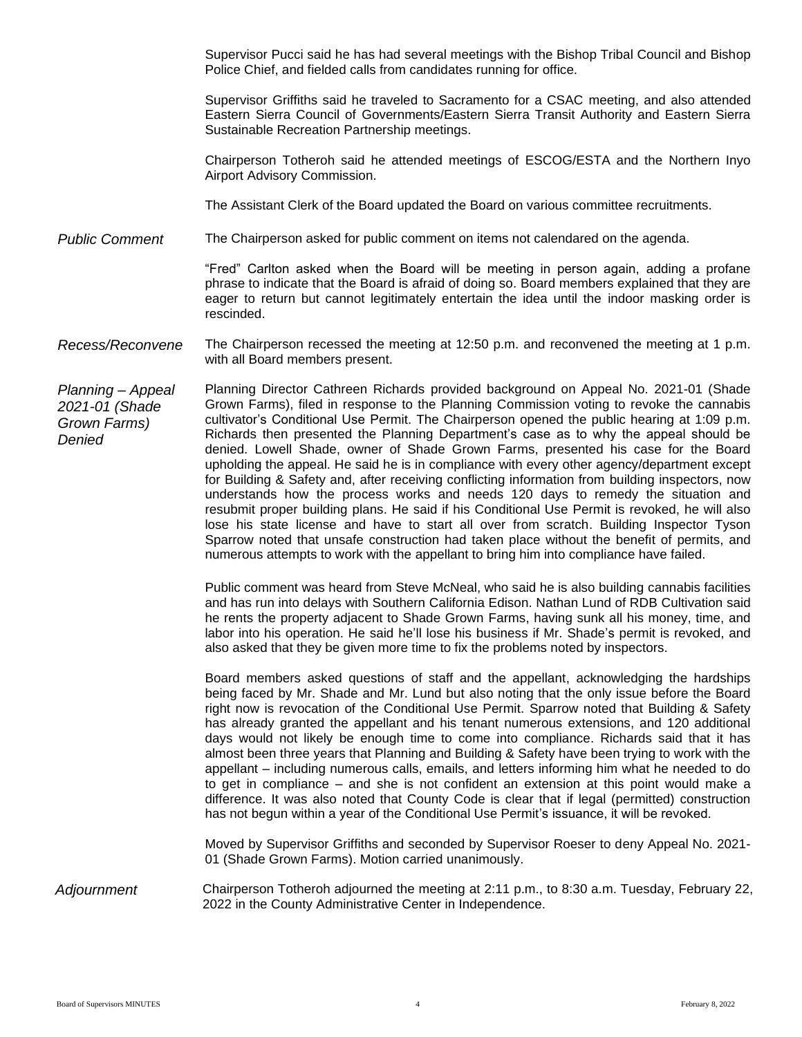Supervisor Pucci said he has had several meetings with the Bishop Tribal Council and Bishop Police Chief, and fielded calls from candidates running for office.

Supervisor Griffiths said he traveled to Sacramento for a CSAC meeting, and also attended Eastern Sierra Council of Governments/Eastern Sierra Transit Authority and Eastern Sierra Sustainable Recreation Partnership meetings.

Chairperson Totheroh said he attended meetings of ESCOG/ESTA and the Northern Inyo Airport Advisory Commission.

The Assistant Clerk of the Board updated the Board on various committee recruitments.

*Public Comment* The Chairperson asked for public comment on items not calendared on the agenda.

"Fred" Carlton asked when the Board will be meeting in person again, adding a profane phrase to indicate that the Board is afraid of doing so. Board members explained that they are eager to return but cannot legitimately entertain the idea until the indoor masking order is rescinded.

## *Recess/Reconvene* The Chairperson recessed the meeting at 12:50 p.m. and reconvened the meeting at 1 p.m. with all Board members present.

*Planning – Appeal 2021-01 (Shade Grown Farms) Denied*  Planning Director Cathreen Richards provided background on Appeal No. 2021-01 (Shade Grown Farms), filed in response to the Planning Commission voting to revoke the cannabis cultivator's Conditional Use Permit. The Chairperson opened the public hearing at 1:09 p.m. Richards then presented the Planning Department's case as to why the appeal should be denied. Lowell Shade, owner of Shade Grown Farms, presented his case for the Board upholding the appeal. He said he is in compliance with every other agency/department except for Building & Safety and, after receiving conflicting information from building inspectors, now understands how the process works and needs 120 days to remedy the situation and resubmit proper building plans. He said if his Conditional Use Permit is revoked, he will also lose his state license and have to start all over from scratch. Building Inspector Tyson Sparrow noted that unsafe construction had taken place without the benefit of permits, and numerous attempts to work with the appellant to bring him into compliance have failed.

> Public comment was heard from Steve McNeal, who said he is also building cannabis facilities and has run into delays with Southern California Edison. Nathan Lund of RDB Cultivation said he rents the property adjacent to Shade Grown Farms, having sunk all his money, time, and labor into his operation. He said he'll lose his business if Mr. Shade's permit is revoked, and also asked that they be given more time to fix the problems noted by inspectors.

> Board members asked questions of staff and the appellant, acknowledging the hardships being faced by Mr. Shade and Mr. Lund but also noting that the only issue before the Board right now is revocation of the Conditional Use Permit. Sparrow noted that Building & Safety has already granted the appellant and his tenant numerous extensions, and 120 additional days would not likely be enough time to come into compliance. Richards said that it has almost been three years that Planning and Building & Safety have been trying to work with the appellant – including numerous calls, emails, and letters informing him what he needed to do to get in compliance – and she is not confident an extension at this point would make a difference. It was also noted that County Code is clear that if legal (permitted) construction has not begun within a year of the Conditional Use Permit's issuance, it will be revoked.

> Moved by Supervisor Griffiths and seconded by Supervisor Roeser to deny Appeal No. 2021- 01 (Shade Grown Farms). Motion carried unanimously.

*Adjournment* Chairperson Totheroh adjourned the meeting at 2:11 p.m., to 8:30 a.m. Tuesday, February 22, 2022 in the County Administrative Center in Independence.